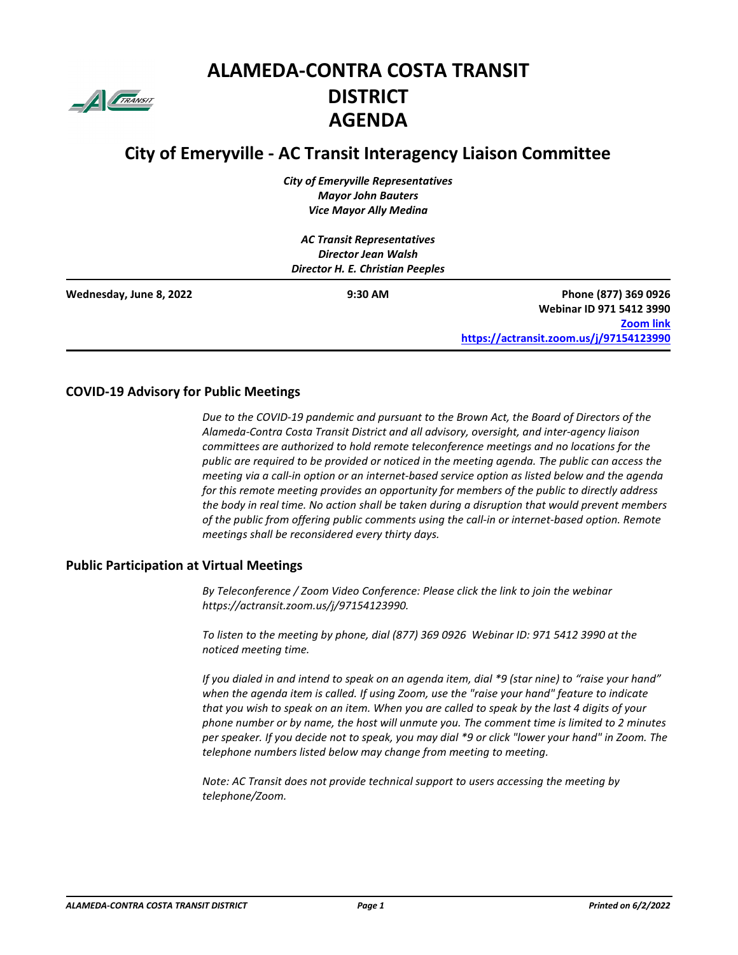

# **ALAMEDA-CONTRA COSTA TRANSIT DISTRICT AGENDA**

# **City of Emeryville - AC Transit Interagency Liaison Committee**

*City of Emeryville Representatives Mayor John Bauters Vice Mayor Ally Medina* 

*AC Transit Representatives Director Jean Walsh Director H. E. Christian Peeples*

| Wednesday, June 8, 2022 | $9:30$ AM | Phone (877) 369 0926                    |
|-------------------------|-----------|-----------------------------------------|
|                         |           | Webinar ID 971 5412 3990                |
|                         |           | <b>Zoom link</b>                        |
|                         |           | https://actransit.zoom.us/j/97154123990 |

#### **COVID-19 Advisory for Public Meetings**

*Due to the COVID-19 pandemic and pursuant to the Brown Act, the Board of Directors of the Alameda-Contra Costa Transit District and all advisory, oversight, and inter-agency liaison committees are authorized to hold remote teleconference meetings and no locations for the public are required to be provided or noticed in the meeting agenda. The public can access the meeting via a call-in option or an internet-based service option as listed below and the agenda for this remote meeting provides an opportunity for members of the public to directly address the body in real time. No action shall be taken during a disruption that would prevent members of the public from offering public comments using the call-in or internet-based option. Remote meetings shall be reconsidered every thirty days.*

#### **Public Participation at Virtual Meetings**

*By Teleconference / Zoom Video Conference: Please click the link to join the webinar https://actransit.zoom.us/j/97154123990.*

*To listen to the meeting by phone, dial (877) 369 0926 Webinar ID: 971 5412 3990 at the noticed meeting time.* 

*If you dialed in and intend to speak on an agenda item, dial \*9 (star nine) to "raise your hand" when the agenda item is called. If using Zoom, use the "raise your hand" feature to indicate that you wish to speak on an item. When you are called to speak by the last 4 digits of your phone number or by name, the host will unmute you. The comment time is limited to 2 minutes per speaker. If you decide not to speak, you may dial \*9 or click "lower your hand" in Zoom. The telephone numbers listed below may change from meeting to meeting.*

*Note: AC Transit does not provide technical support to users accessing the meeting by telephone/Zoom.*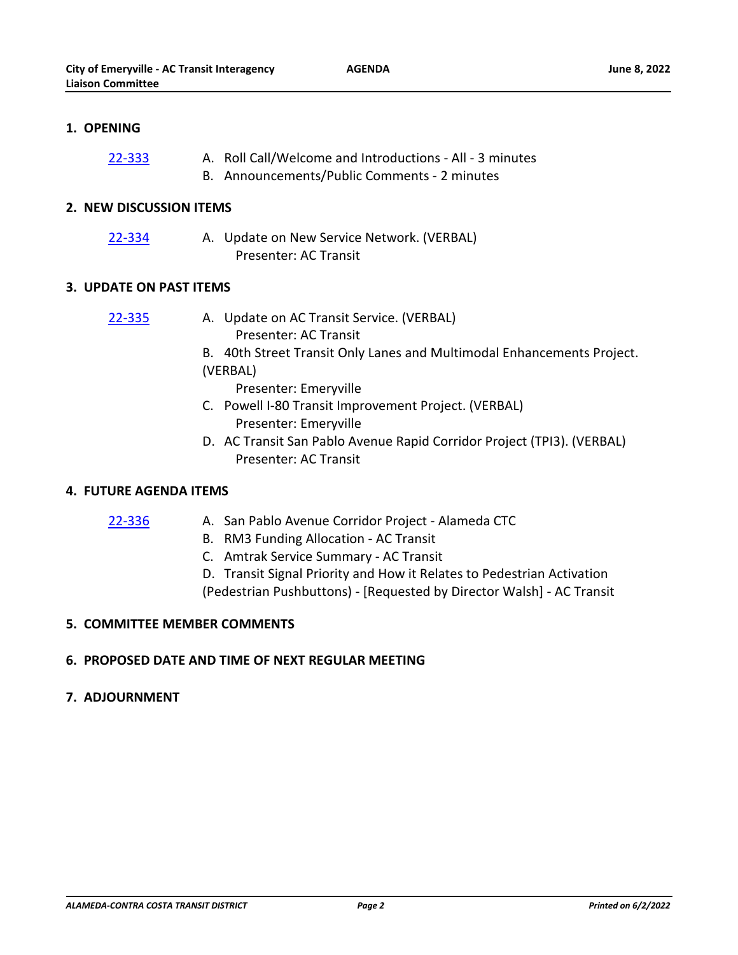**AGENDA**

# **1. OPENING**

- A. Roll Call/Welcome and Introductions All 3 minutes [22-333](http://actransit.legistar.com/gateway.aspx?m=l&id=/matter.aspx?key=5111)
	- B. Announcements/Public Comments 2 minutes

#### **2. NEW DISCUSSION ITEMS**

- [22-334](http://actransit.legistar.com/gateway.aspx?m=l&id=/matter.aspx?key=5112)
- A. Update on New Service Network. (VERBAL) Presenter: AC Transit

# **3. UPDATE ON PAST ITEMS**

- A. Update on AC Transit Service. (VERBAL) [22-335](http://actransit.legistar.com/gateway.aspx?m=l&id=/matter.aspx?key=5113)
	- Presenter: AC Transit
	- B. 40th Street Transit Only Lanes and Multimodal Enhancements Project.
	- (VERBAL)
		- Presenter: Emeryville
	- C. Powell I-80 Transit Improvement Project. (VERBAL) Presenter: Emeryville
	- D. AC Transit San Pablo Avenue Rapid Corridor Project (TPI3). (VERBAL) Presenter: AC Transit

# **4. FUTURE AGENDA ITEMS**

[22-336](http://actransit.legistar.com/gateway.aspx?m=l&id=/matter.aspx?key=5114)

- A. San Pablo Avenue Corridor Project Alameda CTC
	- B. RM3 Funding Allocation AC Transit
	- C. Amtrak Service Summary AC Transit
	- D. Transit Signal Priority and How it Relates to Pedestrian Activation (Pedestrian Pushbuttons) - [Requested by Director Walsh] - AC Transit

# **5. COMMITTEE MEMBER COMMENTS**

# **6. PROPOSED DATE AND TIME OF NEXT REGULAR MEETING**

# **7. ADJOURNMENT**